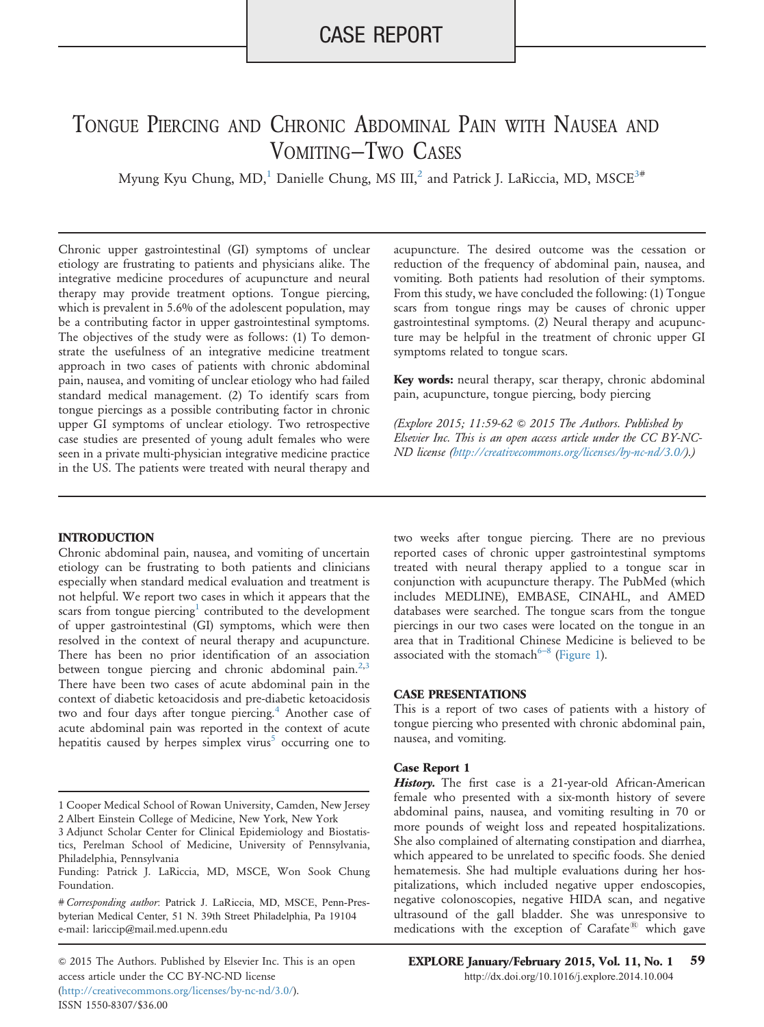## CASE REPORT

# TONGUE PIERCING AND CHRONIC ABDOMINAL PAIN WITH NAUSEA AND VOMITING—TWO CASES

Myung Kyu Chung, MD,<sup>1</sup> Danielle Chung, MS III,<sup>2</sup> and Patrick J. LaRiccia, MD, MSCE<sup>3#</sup>

Chronic upper gastrointestinal (GI) symptoms of unclear etiology are frustrating to patients and physicians alike. The integrative medicine procedures of acupuncture and neural therapy may provide treatment options. Tongue piercing, which is prevalent in 5.6% of the adolescent population, may be a contributing factor in upper gastrointestinal symptoms. The objectives of the study were as follows: (1) To demonstrate the usefulness of an integrative medicine treatment approach in two cases of patients with chronic abdominal pain, nausea, and vomiting of unclear etiology who had failed standard medical management. (2) To identify scars from tongue piercings as a possible contributing factor in chronic upper GI symptoms of unclear etiology. Two retrospective case studies are presented of young adult females who were seen in a private multi-physician integrative medicine practice in the US. The patients were treated with neural therapy and

#### **INTRODUCTION**

Chronic abdominal pain, nausea, and vomiting of uncertain etiology can be frustrating to both patients and clinicians especially when standard medical evaluation and treatment is not helpful. We report two cases in which it appears that the scars from tongue piercing<sup>1</sup> contributed to the development of upper gastrointestinal (GI) symptoms, which were then resolved in the context of neural therapy and acupuncture. There has been no prior identification of an association between tongue piercing and chronic abdominal pain.<sup>[2,3](#page-2-0)</sup> There have been two cases of acute abdominal pain in the context of diabetic ketoacidosis and pre-diabetic ketoacidosis two and four days after tongue piercing.<sup>[4](#page-2-0)</sup> Another case of acute abdominal pain was reported in the context of acute hepatitis caused by herpes simplex virus<sup>[5](#page-3-0)</sup> occurring one to

© 2015 The Authors. Published by Elsevier Inc. This is an open EXPLORE January/February 2015, Vol. 11, No. 1 59 access article under the CC BY-NC-ND license (http://creativecommons.org/licenses/by-nc-nd/3.0/). ISSN 1550-8307/\$36.00

acupuncture. The desired outcome was the cessation or reduction of the frequency of abdominal pain, nausea, and vomiting. Both patients had resolution of their symptoms. From this study, we have concluded the following: (1) Tongue scars from tongue rings may be causes of chronic upper gastrointestinal symptoms. (2) Neural therapy and acupuncture may be helpful in the treatment of chronic upper GI symptoms related to tongue scars.

Key words: neural therapy, scar therapy, chronic abdominal pain, acupuncture, tongue piercing, body piercing

(Explore 2015; 11:59-62  $\odot$  2015 The Authors. Published by Elsevier Inc. This is an open access article under the CC BY-NC-ND license (http://creativecommons.org/licenses/by-nc-nd/3.0/).)

two weeks after tongue piercing. There are no previous reported cases of chronic upper gastrointestinal symptoms treated with neural therapy applied to a tongue scar in conjunction with acupuncture therapy. The PubMed (which includes MEDLINE), EMBASE, CINAHL, and AMED databases were searched. The tongue scars from the tongue piercings in our two cases were located on the tongue in an area that in Traditional Chinese Medicine is believed to be associated with the stomach $6-8$  ([Figure 1](#page-1-0)).

#### CASE PRESENTATIONS

This is a report of two cases of patients with a history of tongue piercing who presented with chronic abdominal pain, nausea, and vomiting.

#### Case Report 1

History. The first case is a 21-year-old African-American female who presented with a six-month history of severe abdominal pains, nausea, and vomiting resulting in 70 or more pounds of weight loss and repeated hospitalizations. She also complained of alternating constipation and diarrhea, which appeared to be unrelated to specific foods. She denied hematemesis. She had multiple evaluations during her hospitalizations, which included negative upper endoscopies, negative colonoscopies, negative HIDA scan, and negative ultrasound of the gall bladder. She was unresponsive to medications with the exception of  $\text{Carafate}^{\textcircled{k}}$  which gave

<sup>1</sup> Cooper Medical School of Rowan University, Camden, New Jersey 2 Albert Einstein College of Medicine, New York, New York

<sup>3</sup> Adjunct Scholar Center for Clinical Epidemiology and Biostatistics, Perelman School of Medicine, University of Pennsylvania, Philadelphia, Pennsylvania

Funding: Patrick J. LaRiccia, MD, MSCE, Won Sook Chung Foundation.

e-mail: [lariccip@mail.med.upenn.edu](mailto:lariccip@mail.med.upenn.edu) # Corresponding author: Patrick J. LaRiccia, MD, MSCE, Penn-Presbyterian Medical Center, 51 N. 39th Street Philadelphia, Pa 19104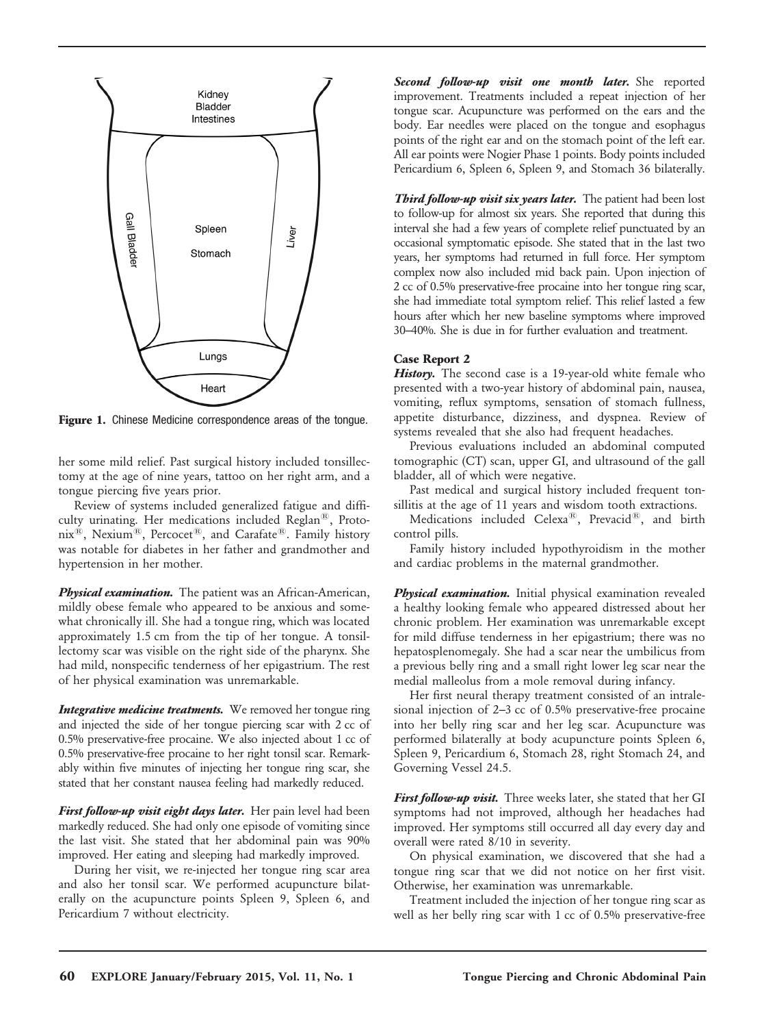<span id="page-1-0"></span>

Figure 1. Chinese Medicine correspondence areas of the tongue.

her some mild relief. Past surgical history included tonsillectomy at the age of nine years, tattoo on her right arm, and a tongue piercing five years prior.

Review of systems included generalized fatigue and difficulty urinating. Her medications included Reglan®, Proto- $\text{mix}^{\circledR}$ , Nexium $^{\circledR}$ , Percocet $^{\circledR}$ , and Carafate $^{\circledR}$ . Family history was notable for diabetes in her father and grandmother and hypertension in her mother.

Physical examination. The patient was an African-American, mildly obese female who appeared to be anxious and somewhat chronically ill. She had a tongue ring, which was located approximately 1.5 cm from the tip of her tongue. A tonsillectomy scar was visible on the right side of the pharynx. She had mild, nonspecific tenderness of her epigastrium. The rest of her physical examination was unremarkable.

**Integrative medicine treatments.** We removed her tongue ring and injected the side of her tongue piercing scar with 2 cc of 0.5% preservative-free procaine. We also injected about 1 cc of 0.5% preservative-free procaine to her right tonsil scar. Remarkably within five minutes of injecting her tongue ring scar, she stated that her constant nausea feeling had markedly reduced.

First follow-up visit eight days later. Her pain level had been markedly reduced. She had only one episode of vomiting since the last visit. She stated that her abdominal pain was 90% improved. Her eating and sleeping had markedly improved.

During her visit, we re-injected her tongue ring scar area and also her tonsil scar. We performed acupuncture bilaterally on the acupuncture points Spleen 9, Spleen 6, and Pericardium 7 without electricity.

Second follow-up visit one month later. She reported improvement. Treatments included a repeat injection of her tongue scar. Acupuncture was performed on the ears and the body. Ear needles were placed on the tongue and esophagus points of the right ear and on the stomach point of the left ear. All ear points were Nogier Phase 1 points. Body points included Pericardium 6, Spleen 6, Spleen 9, and Stomach 36 bilaterally.

Third follow-up visit six years later. The patient had been lost to follow-up for almost six years. She reported that during this interval she had a few years of complete relief punctuated by an occasional symptomatic episode. She stated that in the last two years, her symptoms had returned in full force. Her symptom complex now also included mid back pain. Upon injection of 2 cc of 0.5% preservative-free procaine into her tongue ring scar, she had immediate total symptom relief. This relief lasted a few hours after which her new baseline symptoms where improved 30–40%. She is due in for further evaluation and treatment.

#### Case Report 2

History. The second case is a 19-year-old white female who presented with a two-year history of abdominal pain, nausea, vomiting, reflux symptoms, sensation of stomach fullness, appetite disturbance, dizziness, and dyspnea. Review of systems revealed that she also had frequent headaches.

Previous evaluations included an abdominal computed tomographic (CT) scan, upper GI, and ultrasound of the gall bladder, all of which were negative.

Past medical and surgical history included frequent tonsillitis at the age of 11 years and wisdom tooth extractions.

Medications included Celexa<sup>®</sup>, Prevacid®, and birth control pills.

Family history included hypothyroidism in the mother and cardiac problems in the maternal grandmother.

Physical examination. Initial physical examination revealed a healthy looking female who appeared distressed about her chronic problem. Her examination was unremarkable except for mild diffuse tenderness in her epigastrium; there was no hepatosplenomegaly. She had a scar near the umbilicus from a previous belly ring and a small right lower leg scar near the medial malleolus from a mole removal during infancy.

Her first neural therapy treatment consisted of an intralesional injection of 2–3 cc of 0.5% preservative-free procaine into her belly ring scar and her leg scar. Acupuncture was performed bilaterally at body acupuncture points Spleen 6, Spleen 9, Pericardium 6, Stomach 28, right Stomach 24, and Governing Vessel 24.5.

First follow-up visit. Three weeks later, she stated that her GI symptoms had not improved, although her headaches had improved. Her symptoms still occurred all day every day and overall were rated 8/10 in severity.

On physical examination, we discovered that she had a tongue ring scar that we did not notice on her first visit. Otherwise, her examination was unremarkable.

Treatment included the injection of her tongue ring scar as well as her belly ring scar with 1 cc of 0.5% preservative-free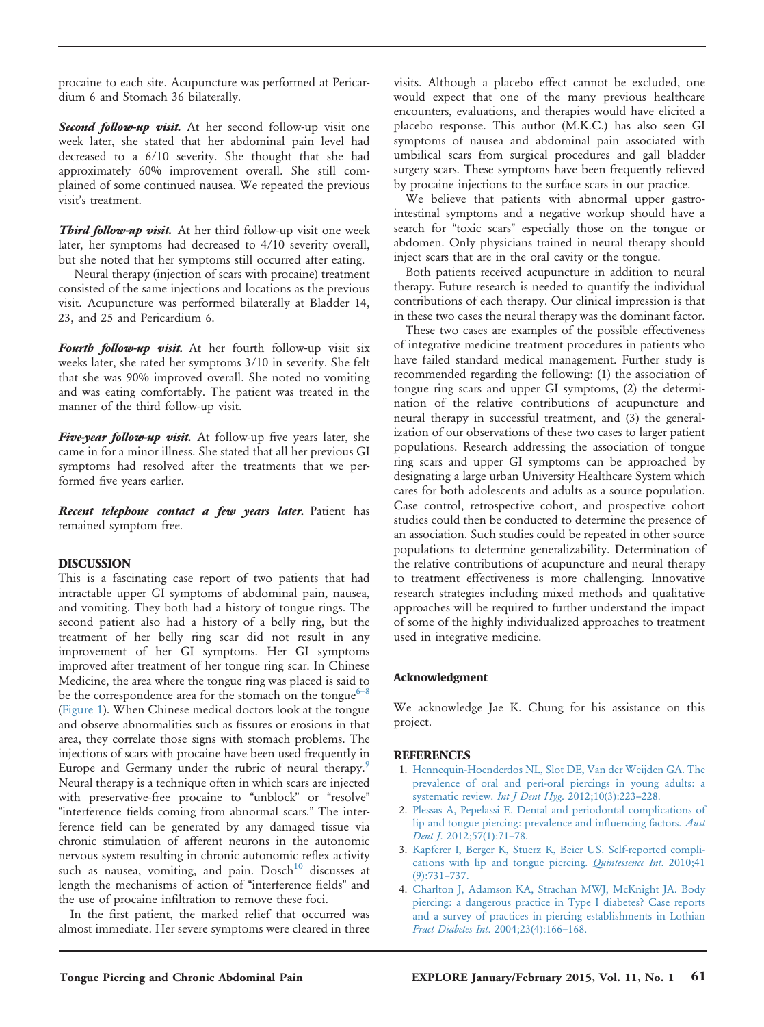<span id="page-2-0"></span>procaine to each site. Acupuncture was performed at Pericardium 6 and Stomach 36 bilaterally.

Second follow-up visit. At her second follow-up visit one week later, she stated that her abdominal pain level had decreased to a 6/10 severity. She thought that she had approximately 60% improvement overall. She still complained of some continued nausea. We repeated the previous visit's treatment.

Third follow-up visit. At her third follow-up visit one week later, her symptoms had decreased to 4/10 severity overall, but she noted that her symptoms still occurred after eating.

Neural therapy (injection of scars with procaine) treatment consisted of the same injections and locations as the previous visit. Acupuncture was performed bilaterally at Bladder 14, 23, and 25 and Pericardium 6.

Fourth follow-up visit. At her fourth follow-up visit six weeks later, she rated her symptoms 3/10 in severity. She felt that she was 90% improved overall. She noted no vomiting and was eating comfortably. The patient was treated in the manner of the third follow-up visit.

Five-year follow-up visit. At follow-up five years later, she came in for a minor illness. She stated that all her previous GI symptoms had resolved after the treatments that we performed five years earlier.

Recent telephone contact a few years later. Patient has remained symptom free.

### DISCUSSION

This is a fascinating case report of two patients that had intractable upper GI symptoms of abdominal pain, nausea, and vomiting. They both had a history of tongue rings. The second patient also had a history of a belly ring, but the treatment of her belly ring scar did not result in any improvement of her GI symptoms. Her GI symptoms improved after treatment of her tongue ring scar. In Chinese Medicine, the area where the tongue ring was placed is sai[d to](#page-3-0) be the correspondence area for the stomach on the tongue<sup>6–8</sup> ([Figure 1\)](#page-1-0). When Chinese medical doctors look at the tongue and observe abnormalities such as fissures or erosions in that area, they correlate those signs with stomach problems. The injections of scars with procaine have been used frequently in Europe and Germany under the rubric of neural therapy.<sup>9</sup> Neural therapy is a technique often in which scars are injected with preservative-free procaine to "unblock" or "resolve" "interference fields coming from abnormal scars." The interference field can be generated by any damaged tissue via chronic stimulation of afferent neurons in the autonomic nervous system resulting in chronic autonomic reflex activity such as nausea, vomiting, and pain. Dosch<sup>10</sup> discusses at length the mechanisms of action of "interference fields" and the use of procaine infiltration to remove these foci.

In the first patient, the marked relief that occurred was almost immediate. Her severe symptoms were cleared in three visits. Although a placebo effect cannot be excluded, one would expect that one of the many previous healthcare encounters, evaluations, and therapies would have elicited a placebo response. This author (M.K.C.) has also seen GI symptoms of nausea and abdominal pain associated with umbilical scars from surgical procedures and gall bladder surgery scars. These symptoms have been frequently relieved by procaine injections to the surface scars in our practice.

We believe that patients with abnormal upper gastrointestinal symptoms and a negative workup should have a search for "toxic scars" especially those on the tongue or abdomen. Only physicians trained in neural therapy should inject scars that are in the oral cavity or the tongue.

Both patients received acupuncture in addition to neural therapy. Future research is needed to quantify the individual contributions of each therapy. Our clinical impression is that in these two cases the neural therapy was the dominant factor.

These two cases are examples of the possible effectiveness of integrative medicine treatment procedures in patients who have failed standard medical management. Further study is recommended regarding the following: (1) the association of tongue ring scars and upper GI symptoms, (2) the determination of the relative contributions of acupuncture and neural therapy in successful treatment, and (3) the generalization of our observations of these two cases to larger patient populations. Research addressing the association of tongue ring scars and upper GI symptoms can be approached by designating a large urban University Healthcare System which cares for both adolescents and adults as a source population. Case control, retrospective cohort, and prospective cohort studies could then be conducted to determine the presence of an association. Such studies could be repeated in other source populations to determine generalizability. Determination of the relative contributions of acupuncture and neural therapy to treatment effectiveness is more challenging. Innovative research strategies including mixed methods and qualitative approaches will be required to further understand the impact of some of the highly individualized approaches to treatment used in integrative medicine.

#### Acknowledgment

We acknowledge Jae K. Chung for his assistance on this project.

#### **REFERENCES**

- 1. [Hennequin-Hoenderdos NL, Slot DE, Van der Weijden GA. The](http://refhub.elsevier.com/S1550-8307(14)00207-9/sbref1) [prevalence of oral and peri-oral piercings in young adults: a](http://refhub.elsevier.com/S1550-8307(14)00207-9/sbref1) [systematic review.](http://refhub.elsevier.com/S1550-8307(14)00207-9/sbref1) Int J Dent Hyg. 2012;10(3):223-228.
- 2. [Plessas A, Pepelassi E. Dental and periodontal complications of](http://refhub.elsevier.com/S1550-8307(14)00207-9/sbref2) [lip and tongue piercing: prevalence and in](http://refhub.elsevier.com/S1550-8307(14)00207-9/sbref2)fluencing factors. Aust Dent J[. 2012;57\(1\):71](http://refhub.elsevier.com/S1550-8307(14)00207-9/sbref2)–78.
- 3. [Kapferer I, Berger K, Stuerz K, Beier US. Self-reported compli](http://refhub.elsevier.com/S1550-8307(14)00207-9/sbref3)[cations with lip and tongue piercing.](http://refhub.elsevier.com/S1550-8307(14)00207-9/sbref3) Quintessence Int. 2010;41 [\(9\):731](http://refhub.elsevier.com/S1550-8307(14)00207-9/sbref3)–737.
- 4. [Charlton J, Adamson KA, Strachan MWJ, McKnight JA. Body](http://refhub.elsevier.com/S1550-8307(14)00207-9/sbref4) [piercing: a dangerous practice in Type I diabetes? Case reports](http://refhub.elsevier.com/S1550-8307(14)00207-9/sbref4) [and a survey of practices in piercing establishments in Lothian](http://refhub.elsevier.com/S1550-8307(14)00207-9/sbref4) [Pract Diabetes Int](http://refhub.elsevier.com/S1550-8307(14)00207-9/sbref4). 2004;23(4):166–168.